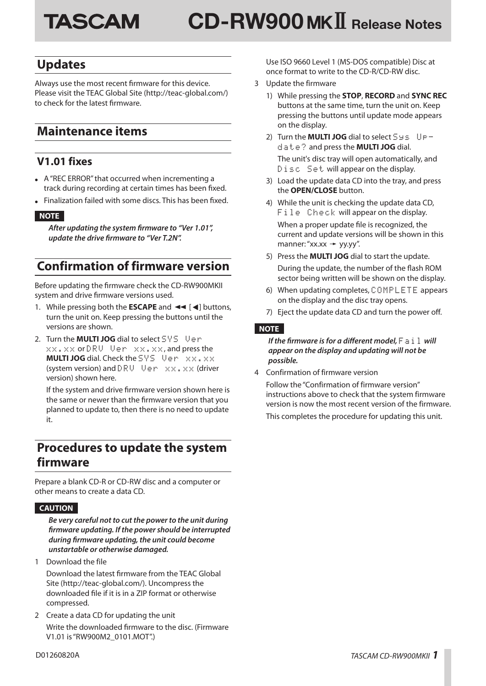# **CD-RW900**)" **Release Notes TASCAM**

### **Updates**

Always use the most recent firmware for this device. Please visit the TEAC Global Site (http://teac-global.com/) to check for the latest firmware.

### **Maintenance items**

### **V1.01 fixes**

- **•** A "REC ERROR" that occurred when incrementing a track during recording at certain times has been fixed.
- **•** Finalization failed with some discs. This has been fixed.

#### **NOTE**

*After updating the system firmware to "Ver 1.01", update the drive firmware to "Ver T.2N".*

## **Confirmation of firmware version**

Before updating the firmware check the CD-RW900MKII system and drive firmware versions used.

- 1. While pressing both the **ESCAPE** and  $\blacktriangleleft$  [ $\blacktriangleleft$ ] buttons, turn the unit on. Keep pressing the buttons until the versions are shown.
- 2. Turn the **MULTI JOG** dial to select SMS Up m xx.xx or DRU Uen xx.xx, and press the **MULTI JOG** dial. Check the SYS Ven xx.xx (system version) and DRU Uer  $x \times x \times x$  (driver version) shown here.

If the system and drive firmware version shown here is the same or newer than the firmware version that you planned to update to, then there is no need to update it.

### **Procedures to update the system firmware**

Prepare a blank CD-R or CD-RW disc and a computer or other means to create a data CD.

#### **CAUTION**

*Be very careful not to cut the power to the unit during firmware updating. If the power should be interrupted during firmware updating, the unit could become unstartable or otherwise damaged.*

1 Download the file

Download the latest firmware from the TEAC Global Site (http://teac-global.com/). Uncompress the downloaded file if it is in a ZIP format or otherwise compressed.

2 Create a data CD for updating the unit Write the downloaded firmware to the disc. (Firmware V1.01 is "RW900M2\_0101.MOT".)

Use ISO 9660 Level 1 (MS-DOS compatible) Disc at once format to write to the CD-R/CD-RW disc.

- 3 Update the firmware
	- 1) While pressing the **STOP**, **RECORD** and **SYNC REC** buttons at the same time, turn the unit on. Keep pressing the buttons until update mode appears on the display.
	- 2) Turn the **MULTI JOG** dial to select Sys Update? and press the **MULTI JOG** dial. The unit's disc tray will open automatically, and Disc Set will appear on the display.
	- 3) Load the update data CD into the tray, and press the **OPEN/CLOSE** button.
	- 4) While the unit is checking the update data CD, File Check will appear on the display. When a proper update file is recognized, the current and update versions will be shown in this manner: "xx.xx  $\rightarrow$  yy.yy".
	- 5) Press the **MULTI JOG** dial to start the update. During the update, the number of the flash ROM sector being written will be shown on the display.
	- 6) When updating completes, COMPLETE appears on the display and the disc tray opens.
	- 7) Eject the update data CD and turn the power off.

#### **NOTE**

*If the firmware is for a different model,*  $F \equiv i \, l \,$  will *appear on the display and updating will not be possible.*

4 Confirmation of firmware version

Follow the "Confirmation of firmware version" instructions above to check that the system firmware version is now the most recent version of the firmware. This completes the procedure for updating this unit.